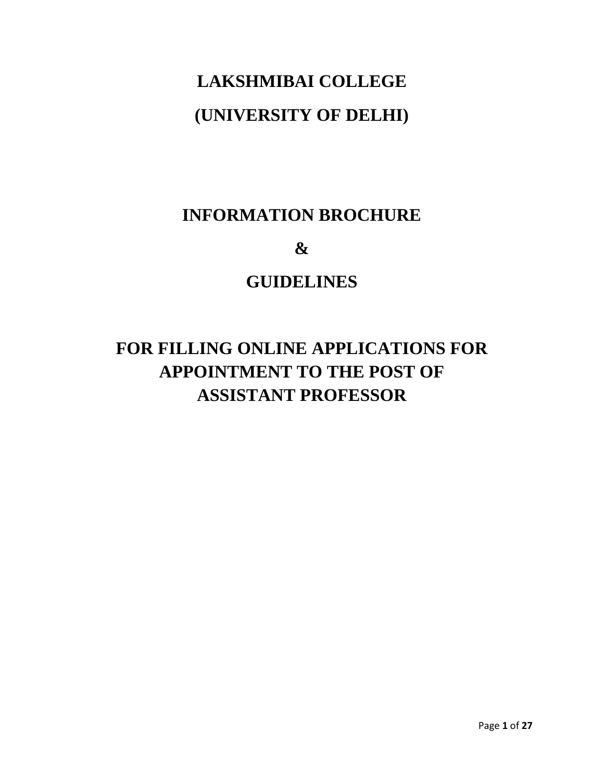# **LAKSHMIBAI COLLEGE (UNIVERSITY OF DELHI)**

# **INFORMATION BROCHURE**

**&**

## **GUIDELINES**

# **FOR FILLING ONLINE APPLICATIONS FOR APPOINTMENT TO THE POST OF ASSISTANT PROFESSOR**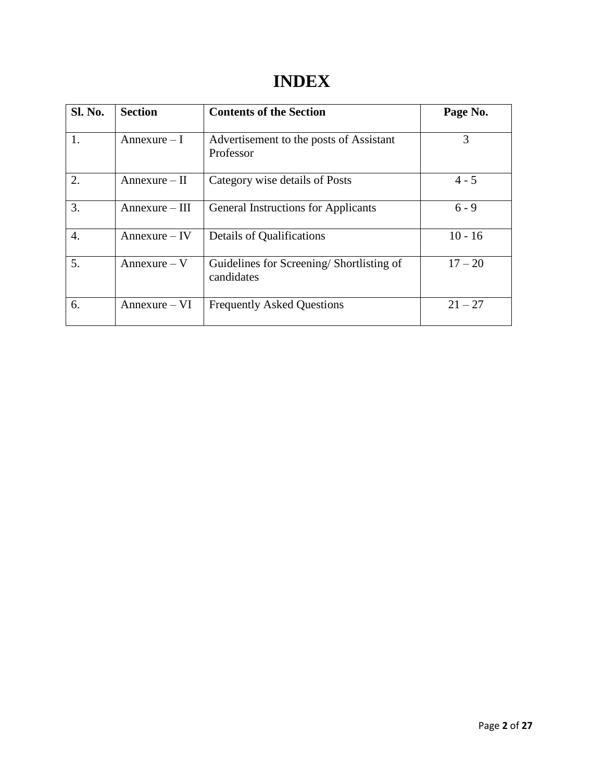# **INDEX**

| <b>Sl. No.</b>   | <b>Section</b>  | <b>Contents of the Section</b>                         | Page No.  |
|------------------|-----------------|--------------------------------------------------------|-----------|
| 1.               | $Annexure-I$    | Advertisement to the posts of Assistant<br>Professor   | 3         |
| 2.               | $Annexure - II$ | Category wise details of Posts                         | $4 - 5$   |
| 3.               | Annexure – III  | <b>General Instructions for Applicants</b>             | $6 - 9$   |
| $\overline{4}$ . | $Annexure - IV$ | Details of Qualifications                              | $10 - 16$ |
| 5.               | $Annexure - V$  | Guidelines for Screening/Shortlisting of<br>candidates | $17 - 20$ |
| 6.               | $Annexure-VI$   | <b>Frequently Asked Questions</b>                      | $21 - 27$ |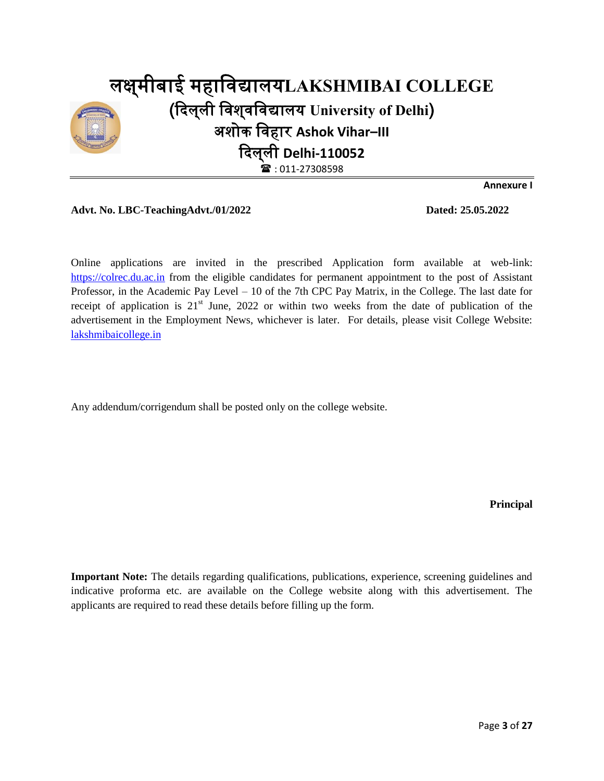

**Annexure I**

#### **Advt. No. LBC-TeachingAdvt./01/2022 Dated: 25.05.2022**

Online applications are invited in the prescribed Application form available at web-link: [https://colrec.du.ac.in](https://colrec.du.ac.in/) from the eligible candidates for permanent appointment to the post of Assistant Professor, in the Academic Pay Level – 10 of the 7th CPC Pay Matrix, in the College. The last date for receipt of application is  $21<sup>st</sup>$  June, 2022 or within two weeks from the date of publication of the advertisement in the Employment News, whichever is later. For details, please visit College Website: [lakshmibaicollege.in](http://lakshmibaicollege.in/)

Any addendum/corrigendum shall be posted only on the college website.

**Principal**

**Important Note:** The details regarding qualifications, publications, experience, screening guidelines and indicative proforma etc. are available on the College website along with this advertisement. The applicants are required to read these details before filling up the form.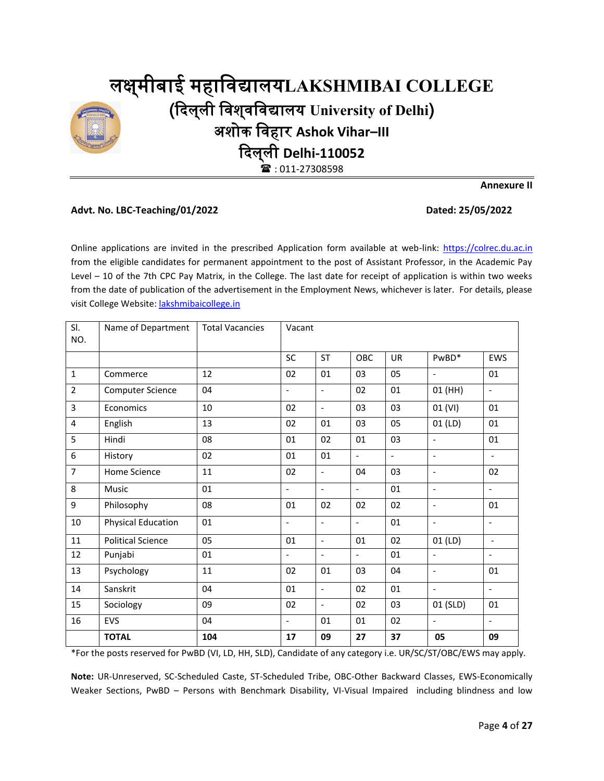# लक्ष्मीबाई्महाविद्यालय**LAKSHMIBAI COLLEGE** (दिलष्ली्विशष्िविद्यालय्**University of Delhi**) अशोक्विहार्**Ashok Vihar–III** दिलष्ली्**Delhi-110052**  $\mathbf{\widehat{a}}$ : 011-27308598

**Advt. No. LBC-Teaching/01/2022 Dated: 25/05/2022**

**Annexure II**

Online applications are invited in the prescribed Application form available at web-link: [https://colrec.du.ac.in](https://colrec.du.ac.in/) from the eligible candidates for permanent appointment to the post of Assistant Professor, in the Academic Pay Level – 10 of the 7th CPC Pay Matrix, in the College. The last date for receipt of application is within two weeks from the date of publication of the advertisement in the Employment News, whichever is later. For details, please visit College Website: [lakshmibaicollege.in](http://lakshmibaicollege.in/)

| SI.<br>NO.     | Name of Department        | <b>Total Vacancies</b> | Vacant                   |                          |                          |          |                          |                          |
|----------------|---------------------------|------------------------|--------------------------|--------------------------|--------------------------|----------|--------------------------|--------------------------|
|                |                           |                        | SC                       | <b>ST</b>                | OBC                      | UR       | PwBD*                    | EWS                      |
| $\mathbf 1$    | Commerce                  | 12                     | 02                       | 01                       | 03                       | 05       | $\overline{\phantom{a}}$ | 01                       |
| $\overline{2}$ | Computer Science          | 04                     | $\overline{\phantom{0}}$ | $\overline{\phantom{0}}$ | 02                       | 01       | 01 (HH)                  | $\overline{\phantom{a}}$ |
| 3              | Economics                 | 10                     | 02                       | $\overline{\phantom{0}}$ | 03                       | 03       | 01 (VI)                  | 01                       |
| 4              | English                   | 13                     | 02                       | 01                       | 03                       | 05       | 01 (LD)                  | 01                       |
| 5              | Hindi                     | 08                     | 01                       | 02                       | 01                       | 03       | $\overline{\phantom{a}}$ | 01                       |
| 6              | History                   | 02                     | 01                       | 01                       | $\overline{a}$           | $\equiv$ | $\overline{\phantom{a}}$ | $\overline{\phantom{a}}$ |
| $\overline{7}$ | Home Science              | 11                     | 02                       | $\frac{1}{2}$            | 04                       | 03       | $\overline{\phantom{a}}$ | 02                       |
| 8              | Music                     | 01                     | $\overline{\phantom{0}}$ | $\overline{\phantom{0}}$ | $\overline{\phantom{0}}$ | 01       | $\blacksquare$           | $\overline{\phantom{a}}$ |
| 9              | Philosophy                | 08                     | 01                       | 02                       | 02                       | 02       | $\overline{\phantom{a}}$ | 01                       |
| $10\,$         | <b>Physical Education</b> | 01                     | $\overline{\phantom{0}}$ | $\overline{\phantom{a}}$ | $\overline{\phantom{0}}$ | 01       | $\overline{\phantom{a}}$ | $\overline{a}$           |
| $11\,$         | <b>Political Science</b>  | 05                     | 01                       | $\overline{\phantom{a}}$ | 01                       | 02       | $01$ (LD)                | $\blacksquare$           |
| 12             | Punjabi                   | 01                     | $\overline{\phantom{a}}$ | $\overline{\phantom{a}}$ | $\overline{\phantom{0}}$ | 01       | $\overline{\phantom{a}}$ | $\blacksquare$           |
| 13             | Psychology                | 11                     | 02                       | 01                       | 03                       | 04       | $\overline{\phantom{a}}$ | 01                       |
| 14             | Sanskrit                  | 04                     | 01                       | $\overline{\phantom{a}}$ | 02                       | 01       | $\overline{\phantom{a}}$ | $\equiv$                 |
| 15             | Sociology                 | 09                     | 02                       | $\overline{a}$           | 02                       | 03       | 01 (SLD)                 | 01                       |
| 16             | EVS                       | 04                     | $\overline{\phantom{a}}$ | 01                       | 01                       | 02       | $\overline{\phantom{a}}$ | $\overline{\phantom{a}}$ |
|                | <b>TOTAL</b>              | 104                    | 17                       | 09                       | 27                       | 37       | 05                       | 09                       |

\*For the posts reserved for PwBD (VI, LD, HH, SLD), Candidate of any category i.e. UR/SC/ST/OBC/EWS may apply.

**Note:** UR-Unreserved, SC-Scheduled Caste, ST-Scheduled Tribe, OBC-Other Backward Classes, EWS-Economically Weaker Sections, PwBD – Persons with Benchmark Disability, VI-Visual Impaired including blindness and low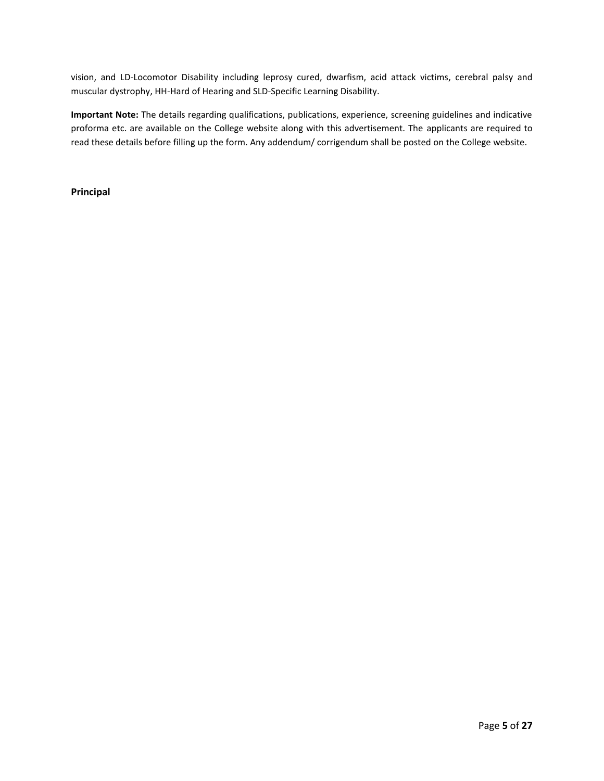vision, and LD-Locomotor Disability including leprosy cured, dwarfism, acid attack victims, cerebral palsy and muscular dystrophy, HH-Hard of Hearing and SLD-Specific Learning Disability.

**Important Note:** The details regarding qualifications, publications, experience, screening guidelines and indicative proforma etc. are available on the College website along with this advertisement. The applicants are required to read these details before filling up the form. Any addendum/ corrigendum shall be posted on the College website.

**Principal**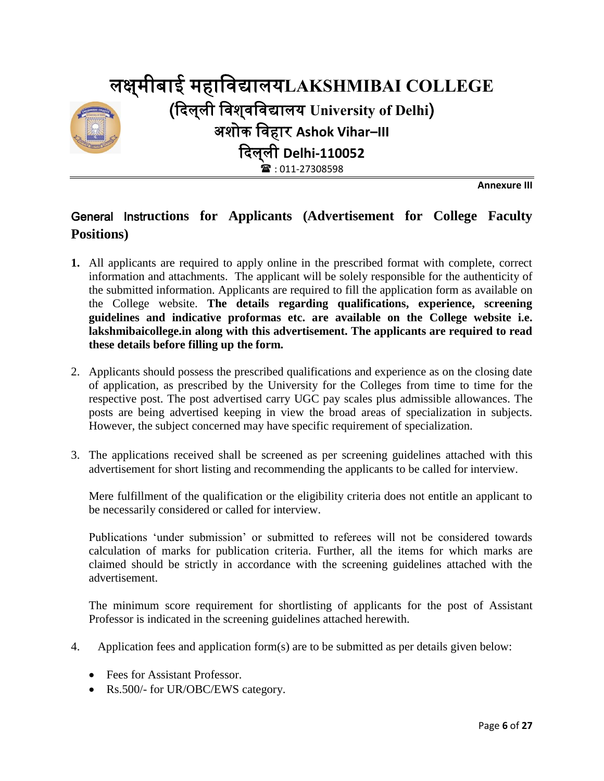

**Annexure III**

### General Instr**uctions for Applicants (Advertisement for College Faculty Positions)**

- **1.** All applicants are required to apply online in the prescribed format with complete, correct information and attachments. The applicant will be solely responsible for the authenticity of the submitted information. Applicants are required to fill the application form as available on the College website. **The details regarding qualifications, experience, screening guidelines and indicative proformas etc. are available on the College website i.e. lakshmibaicollege.in along with this advertisement. The applicants are required to read these details before filling up the form.**
- 2. Applicants should possess the prescribed qualifications and experience as on the closing date of application, as prescribed by the University for the Colleges from time to time for the respective post. The post advertised carry UGC pay scales plus admissible allowances. The posts are being advertised keeping in view the broad areas of specialization in subjects. However, the subject concerned may have specific requirement of specialization.
- 3. The applications received shall be screened as per screening guidelines attached with this advertisement for short listing and recommending the applicants to be called for interview.

Mere fulfillment of the qualification or the eligibility criteria does not entitle an applicant to be necessarily considered or called for interview.

Publications 'under submission' or submitted to referees will not be considered towards calculation of marks for publication criteria. Further, all the items for which marks are claimed should be strictly in accordance with the screening guidelines attached with the advertisement.

The minimum score requirement for shortlisting of applicants for the post of Assistant Professor is indicated in the screening guidelines attached herewith.

- 4. Application fees and application form(s) are to be submitted as per details given below:
	- Fees for Assistant Professor.
	- Rs.500/- for UR/OBC/EWS category.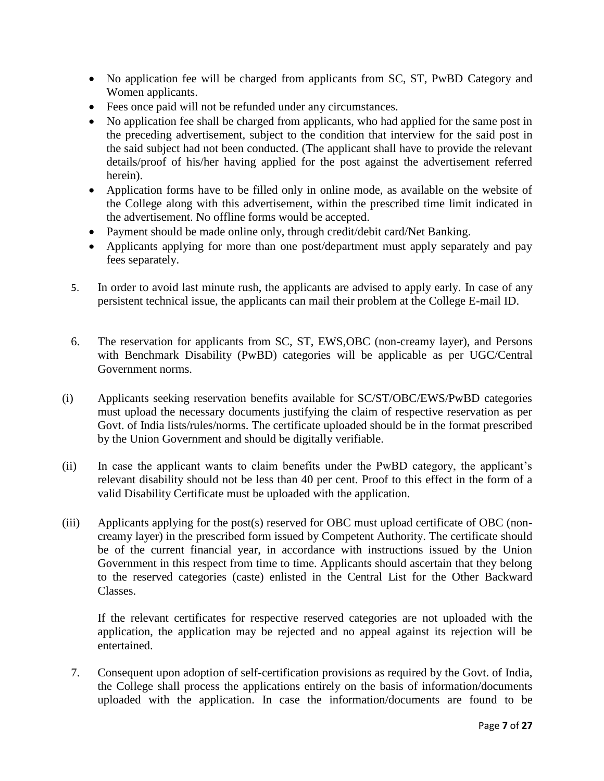- No application fee will be charged from applicants from SC, ST, PwBD Category and Women applicants.
- Fees once paid will not be refunded under any circumstances.
- No application fee shall be charged from applicants, who had applied for the same post in the preceding advertisement, subject to the condition that interview for the said post in the said subject had not been conducted. (The applicant shall have to provide the relevant details/proof of his/her having applied for the post against the advertisement referred herein).
- Application forms have to be filled only in online mode, as available on the website of the College along with this advertisement, within the prescribed time limit indicated in the advertisement. No offline forms would be accepted.
- Payment should be made online only, through credit/debit card/Net Banking.
- Applicants applying for more than one post/department must apply separately and pay fees separately.
- 5. In order to avoid last minute rush, the applicants are advised to apply early. In case of any persistent technical issue, the applicants can mail their problem at the College E-mail ID.
- 6. The reservation for applicants from SC, ST, EWS,OBC (non-creamy layer), and Persons with Benchmark Disability (PwBD) categories will be applicable as per UGC/Central Government norms.
- (i) Applicants seeking reservation benefits available for SC/ST/OBC/EWS/PwBD categories must upload the necessary documents justifying the claim of respective reservation as per Govt. of India lists/rules/norms. The certificate uploaded should be in the format prescribed by the Union Government and should be digitally verifiable.
- (ii) In case the applicant wants to claim benefits under the PwBD category, the applicant's relevant disability should not be less than 40 per cent. Proof to this effect in the form of a valid Disability Certificate must be uploaded with the application.
- (iii) Applicants applying for the post(s) reserved for OBC must upload certificate of OBC (noncreamy layer) in the prescribed form issued by Competent Authority. The certificate should be of the current financial year, in accordance with instructions issued by the Union Government in this respect from time to time. Applicants should ascertain that they belong to the reserved categories (caste) enlisted in the Central List for the Other Backward Classes.

If the relevant certificates for respective reserved categories are not uploaded with the application, the application may be rejected and no appeal against its rejection will be entertained.

7. Consequent upon adoption of self-certification provisions as required by the Govt. of India, the College shall process the applications entirely on the basis of information/documents uploaded with the application. In case the information/documents are found to be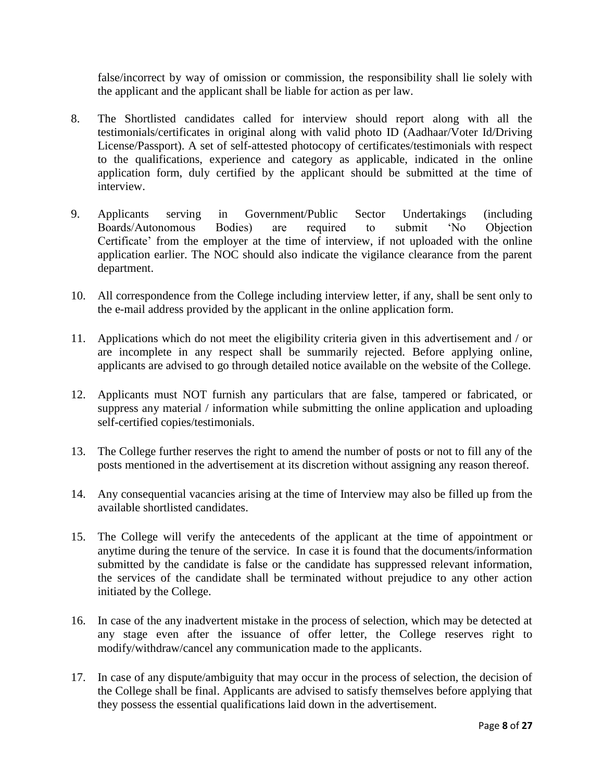false/incorrect by way of omission or commission, the responsibility shall lie solely with the applicant and the applicant shall be liable for action as per law.

- 8. The Shortlisted candidates called for interview should report along with all the testimonials/certificates in original along with valid photo ID (Aadhaar/Voter Id/Driving License/Passport). A set of self-attested photocopy of certificates/testimonials with respect to the qualifications, experience and category as applicable, indicated in the online application form, duly certified by the applicant should be submitted at the time of interview.
- 9. Applicants serving in Government/Public Sector Undertakings (including Boards/Autonomous Bodies) are required to submit 'No Objection Certificate' from the employer at the time of interview, if not uploaded with the online application earlier. The NOC should also indicate the vigilance clearance from the parent department.
- 10. All correspondence from the College including interview letter, if any, shall be sent only to the e-mail address provided by the applicant in the online application form.
- 11. Applications which do not meet the eligibility criteria given in this advertisement and / or are incomplete in any respect shall be summarily rejected. Before applying online, applicants are advised to go through detailed notice available on the website of the College.
- 12. Applicants must NOT furnish any particulars that are false, tampered or fabricated, or suppress any material / information while submitting the online application and uploading self-certified copies/testimonials.
- 13. The College further reserves the right to amend the number of posts or not to fill any of the posts mentioned in the advertisement at its discretion without assigning any reason thereof.
- 14. Any consequential vacancies arising at the time of Interview may also be filled up from the available shortlisted candidates.
- 15. The College will verify the antecedents of the applicant at the time of appointment or anytime during the tenure of the service. In case it is found that the documents/information submitted by the candidate is false or the candidate has suppressed relevant information, the services of the candidate shall be terminated without prejudice to any other action initiated by the College.
- 16. In case of the any inadvertent mistake in the process of selection, which may be detected at any stage even after the issuance of offer letter, the College reserves right to modify/withdraw/cancel any communication made to the applicants.
- 17. In case of any dispute/ambiguity that may occur in the process of selection, the decision of the College shall be final. Applicants are advised to satisfy themselves before applying that they possess the essential qualifications laid down in the advertisement.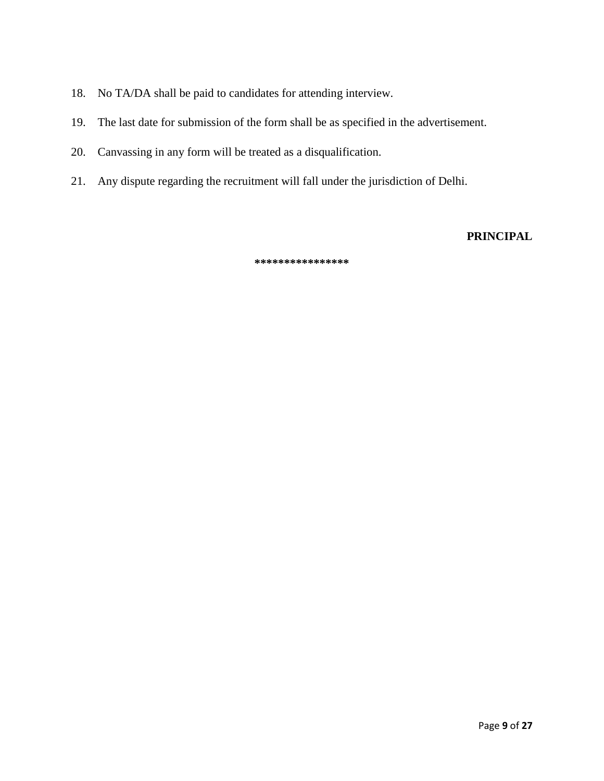- 18. No TA/DA shall be paid to candidates for attending interview.
- 19. The last date for submission of the form shall be as specified in the advertisement.
- 20. Canvassing in any form will be treated as a disqualification.
- 21. Any dispute regarding the recruitment will fall under the jurisdiction of Delhi.

**PRINCIPAL**

**\*\*\*\*\*\*\*\*\*\*\*\*\*\*\*\***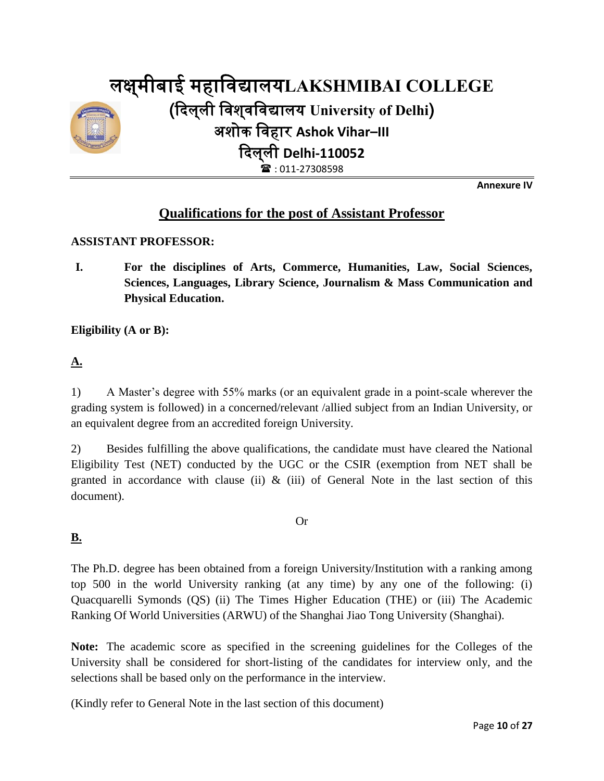

**Annexure IV**

### **Qualifications for the post of Assistant Professor**

#### **ASSISTANT PROFESSOR:**

**I. For the disciplines of Arts, Commerce, Humanities, Law, Social Sciences, Sciences, Languages, Library Science, Journalism & Mass Communication and Physical Education.**

**Eligibility (A or B):**

#### **A.**

1) A Master's degree with 55% marks (or an equivalent grade in a point-scale wherever the grading system is followed) in a concerned/relevant /allied subject from an Indian University, or an equivalent degree from an accredited foreign University.

2) Besides fulfilling the above qualifications, the candidate must have cleared the National Eligibility Test (NET) conducted by the UGC or the CSIR (exemption from NET shall be granted in accordance with clause (ii)  $\&$  (iii) of General Note in the last section of this document).

Or

#### **B.**

The Ph.D. degree has been obtained from a foreign University/Institution with a ranking among top 500 in the world University ranking (at any time) by any one of the following: (i) Quacquarelli Symonds (QS) (ii) The Times Higher Education (THE) or (iii) The Academic Ranking Of World Universities (ARWU) of the Shanghai Jiao Tong University (Shanghai).

**Note:** The academic score as specified in the screening guidelines for the Colleges of the University shall be considered for short-listing of the candidates for interview only, and the selections shall be based only on the performance in the interview*.* 

(Kindly refer to General Note in the last section of this document)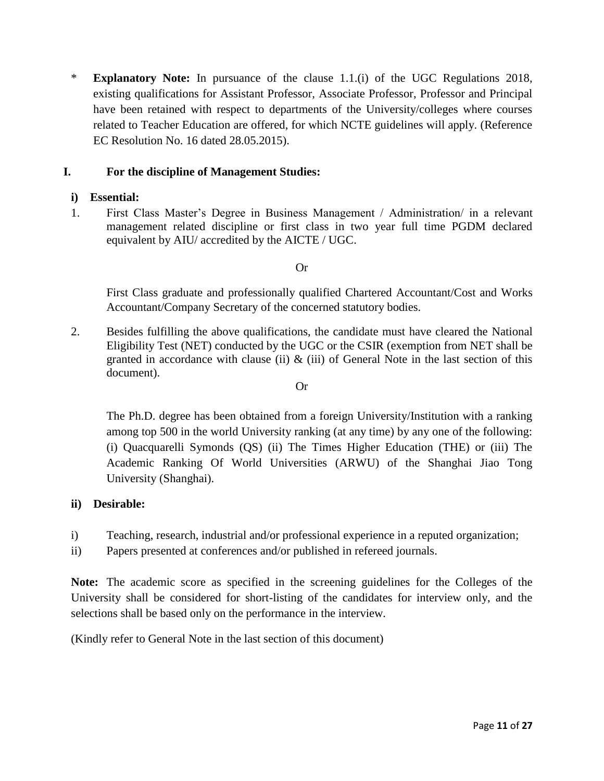\* **Explanatory Note:** In pursuance of the clause 1.1.(i) of the UGC Regulations 2018, existing qualifications for Assistant Professor, Associate Professor, Professor and Principal have been retained with respect to departments of the University/colleges where courses related to Teacher Education are offered, for which NCTE guidelines will apply. (Reference EC Resolution No. 16 dated 28.05.2015).

#### **I. For the discipline of Management Studies:**

#### **i) Essential:**

1. First Class Master's Degree in Business Management / Administration/ in a relevant management related discipline or first class in two year full time PGDM declared equivalent by AIU/ accredited by the AICTE / UGC.

#### Or

First Class graduate and professionally qualified Chartered Accountant/Cost and Works Accountant/Company Secretary of the concerned statutory bodies.

2. Besides fulfilling the above qualifications, the candidate must have cleared the National Eligibility Test (NET) conducted by the UGC or the CSIR (exemption from NET shall be granted in accordance with clause (ii)  $\&$  (iii) of General Note in the last section of this document).

#### Or

The Ph.D. degree has been obtained from a foreign University/Institution with a ranking among top 500 in the world University ranking (at any time) by any one of the following: (i) Quacquarelli Symonds (QS) (ii) The Times Higher Education (THE) or (iii) The Academic Ranking Of World Universities (ARWU) of the Shanghai Jiao Tong University (Shanghai).

#### **ii) Desirable:**

- i) Teaching, research, industrial and/or professional experience in a reputed organization;
- ii) Papers presented at conferences and/or published in refereed journals.

**Note:** The academic score as specified in the screening guidelines for the Colleges of the University shall be considered for short-listing of the candidates for interview only, and the selections shall be based only on the performance in the interview*.* 

(Kindly refer to General Note in the last section of this document)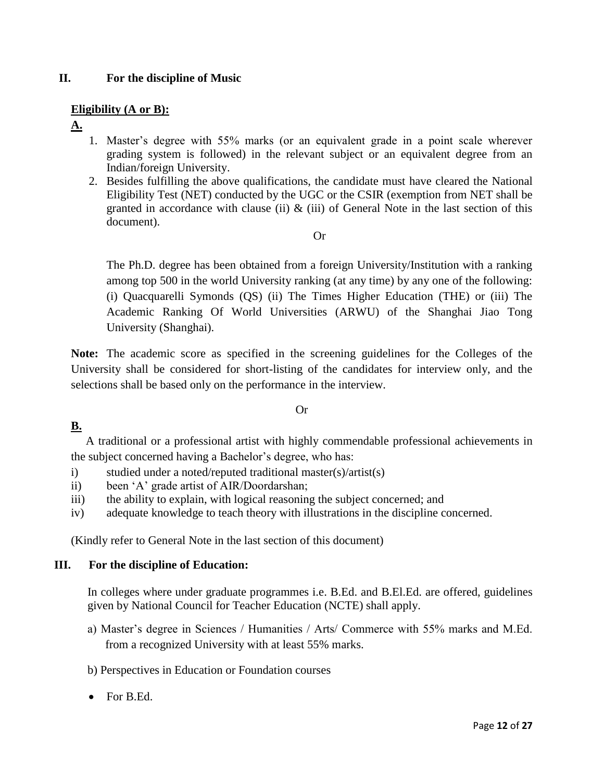#### **II. For the discipline of Music**

#### **Eligibility (A or B):**

- **A.**
- 1. Master's degree with 55% marks (or an equivalent grade in a point scale wherever grading system is followed) in the relevant subject or an equivalent degree from an Indian/foreign University.
- 2. Besides fulfilling the above qualifications, the candidate must have cleared the National Eligibility Test (NET) conducted by the UGC or the CSIR (exemption from NET shall be granted in accordance with clause (ii)  $\&$  (iii) of General Note in the last section of this document).

#### Or

The Ph.D. degree has been obtained from a foreign University/Institution with a ranking among top 500 in the world University ranking (at any time) by any one of the following: (i) Quacquarelli Symonds (QS) (ii) The Times Higher Education (THE) or (iii) The Academic Ranking Of World Universities (ARWU) of the Shanghai Jiao Tong University (Shanghai).

**Note:** The academic score as specified in the screening guidelines for the Colleges of the University shall be considered for short-listing of the candidates for interview only, and the selections shall be based only on the performance in the interview*.* 

#### Or

#### **B.**

 A traditional or a professional artist with highly commendable professional achievements in the subject concerned having a Bachelor's degree, who has:

- i) studied under a noted/reputed traditional master(s)/artist(s)
- ii) been 'A' grade artist of AIR/Doordarshan;
- iii) the ability to explain, with logical reasoning the subject concerned; and
- iv) adequate knowledge to teach theory with illustrations in the discipline concerned.

(Kindly refer to General Note in the last section of this document)

#### **III. For the discipline of Education:**

In colleges where under graduate programmes i.e. B.Ed. and B.El.Ed. are offered, guidelines given by National Council for Teacher Education (NCTE) shall apply.

- a) Master's degree in Sciences / Humanities / Arts/ Commerce with 55% marks and M.Ed. from a recognized University with at least 55% marks.
- b) Perspectives in Education or Foundation courses
- For B.Ed.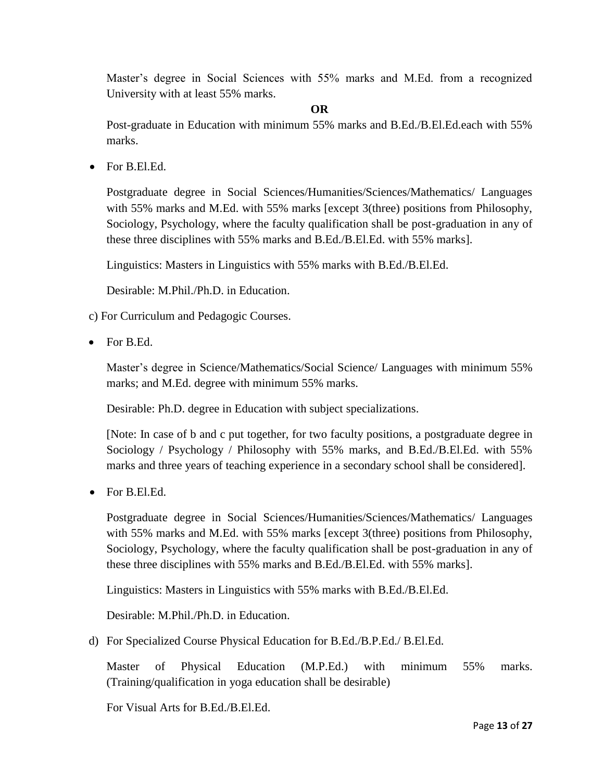Master's degree in Social Sciences with 55% marks and M.Ed. from a recognized University with at least 55% marks.

#### **OR**

Post-graduate in Education with minimum 55% marks and B.Ed./B.El.Ed.each with 55% marks.

For B.El.Ed.

Postgraduate degree in Social Sciences/Humanities/Sciences/Mathematics/ Languages with 55% marks and M.Ed. with 55% marks [except 3(three) positions from Philosophy, Sociology, Psychology, where the faculty qualification shall be post-graduation in any of these three disciplines with 55% marks and B.Ed./B.El.Ed. with 55% marks].

Linguistics: Masters in Linguistics with 55% marks with B.Ed./B.El.Ed.

Desirable: M.Phil./Ph.D. in Education.

- c) For Curriculum and Pedagogic Courses.
- For B.Ed.

Master's degree in Science/Mathematics/Social Science/ Languages with minimum 55% marks; and M.Ed. degree with minimum 55% marks.

Desirable: Ph.D. degree in Education with subject specializations.

[Note: In case of b and c put together, for two faculty positions, a postgraduate degree in Sociology / Psychology / Philosophy with 55% marks, and B.Ed./B.El.Ed. with 55% marks and three years of teaching experience in a secondary school shall be considered].

• For B.El.Ed.

Postgraduate degree in Social Sciences/Humanities/Sciences/Mathematics/ Languages with 55% marks and M.Ed. with 55% marks [except 3(three) positions from Philosophy, Sociology, Psychology, where the faculty qualification shall be post-graduation in any of these three disciplines with 55% marks and B.Ed./B.El.Ed. with 55% marks].

Linguistics: Masters in Linguistics with 55% marks with B.Ed./B.El.Ed.

Desirable: M.Phil./Ph.D. in Education.

d) For Specialized Course Physical Education for B.Ed./B.P.Ed./ B.El.Ed.

Master of Physical Education (M.P.Ed.) with minimum 55% marks. (Training/qualification in yoga education shall be desirable)

For Visual Arts for B.Ed./B.El.Ed.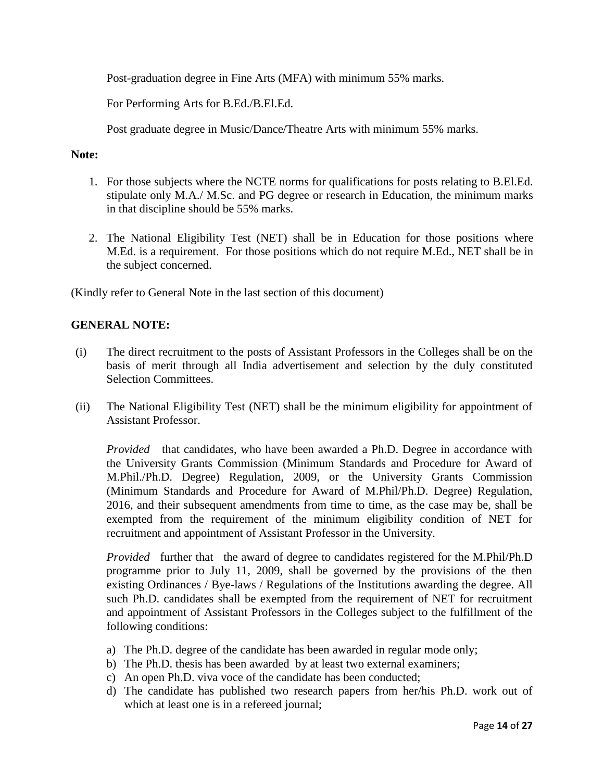Post-graduation degree in Fine Arts (MFA) with minimum 55% marks.

For Performing Arts for B.Ed./B.El.Ed.

Post graduate degree in Music/Dance/Theatre Arts with minimum 55% marks.

#### **Note:**

- 1. For those subjects where the NCTE norms for qualifications for posts relating to B.El.Ed. stipulate only M.A./ M.Sc. and PG degree or research in Education, the minimum marks in that discipline should be 55% marks.
- 2. The National Eligibility Test (NET) shall be in Education for those positions where M.Ed. is a requirement. For those positions which do not require M.Ed., NET shall be in the subject concerned.

(Kindly refer to General Note in the last section of this document)

#### **GENERAL NOTE:**

- (i) The direct recruitment to the posts of Assistant Professors in the Colleges shall be on the basis of merit through all India advertisement and selection by the duly constituted Selection Committees.
- (ii) The National Eligibility Test (NET) shall be the minimum eligibility for appointment of Assistant Professor.

*Provided* that candidates, who have been awarded a Ph.D. Degree in accordance with the University Grants Commission (Minimum Standards and Procedure for Award of M.Phil./Ph.D. Degree) Regulation, 2009, or the University Grants Commission (Minimum Standards and Procedure for Award of M.Phil/Ph.D. Degree) Regulation, 2016, and their subsequent amendments from time to time, as the case may be, shall be exempted from the requirement of the minimum eligibility condition of NET for recruitment and appointment of Assistant Professor in the University.

*Provided* further that the award of degree to candidates registered for the M.Phil/Ph.D programme prior to July 11, 2009, shall be governed by the provisions of the then existing Ordinances / Bye-laws / Regulations of the Institutions awarding the degree. All such Ph.D. candidates shall be exempted from the requirement of NET for recruitment and appointment of Assistant Professors in the Colleges subject to the fulfillment of the following conditions:

- a) The Ph.D. degree of the candidate has been awarded in regular mode only;
- b) The Ph.D. thesis has been awarded by at least two external examiners;
- c) An open Ph.D. viva voce of the candidate has been conducted;
- d) The candidate has published two research papers from her/his Ph.D. work out of which at least one is in a refereed journal;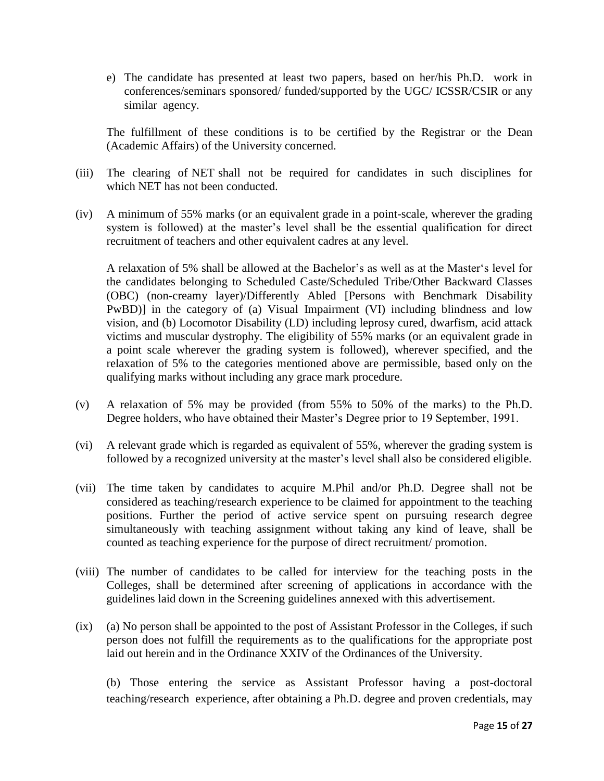e) The candidate has presented at least two papers, based on her/his Ph.D. work in conferences/seminars sponsored/ funded/supported by the UGC/ ICSSR/CSIR or any similar agency.

The fulfillment of these conditions is to be certified by the Registrar or the Dean (Academic Affairs) of the University concerned.

- (iii) The clearing of NET shall not be required for candidates in such disciplines for which NET has not been conducted.
- (iv) A minimum of 55% marks (or an equivalent grade in a point-scale, wherever the grading system is followed) at the master's level shall be the essential qualification for direct recruitment of teachers and other equivalent cadres at any level.

A relaxation of 5% shall be allowed at the Bachelor's as well as at the Master's level for the candidates belonging to Scheduled Caste/Scheduled Tribe/Other Backward Classes (OBC) (non-creamy layer)/Differently Abled [Persons with Benchmark Disability PwBD)] in the category of (a) Visual Impairment (VI) including blindness and low vision, and (b) Locomotor Disability (LD) including leprosy cured, dwarfism, acid attack victims and muscular dystrophy. The eligibility of 55% marks (or an equivalent grade in a point scale wherever the grading system is followed), wherever specified, and the relaxation of 5% to the categories mentioned above are permissible, based only on the qualifying marks without including any grace mark procedure.

- (v) A relaxation of 5% may be provided (from 55% to 50% of the marks) to the Ph.D. Degree holders, who have obtained their Master's Degree prior to 19 September, 1991.
- (vi) A relevant grade which is regarded as equivalent of 55%, wherever the grading system is followed by a recognized university at the master's level shall also be considered eligible.
- (vii) The time taken by candidates to acquire M.Phil and/or Ph.D. Degree shall not be considered as teaching/research experience to be claimed for appointment to the teaching positions. Further the period of active service spent on pursuing research degree simultaneously with teaching assignment without taking any kind of leave, shall be counted as teaching experience for the purpose of direct recruitment/ promotion.
- (viii) The number of candidates to be called for interview for the teaching posts in the Colleges, shall be determined after screening of applications in accordance with the guidelines laid down in the Screening guidelines annexed with this advertisement.
- (ix) (a) No person shall be appointed to the post of Assistant Professor in the Colleges, if such person does not fulfill the requirements as to the qualifications for the appropriate post laid out herein and in the Ordinance XXIV of the Ordinances of the University.

(b) Those entering the service as Assistant Professor having a post-doctoral teaching/research experience, after obtaining a Ph.D. degree and proven credentials, may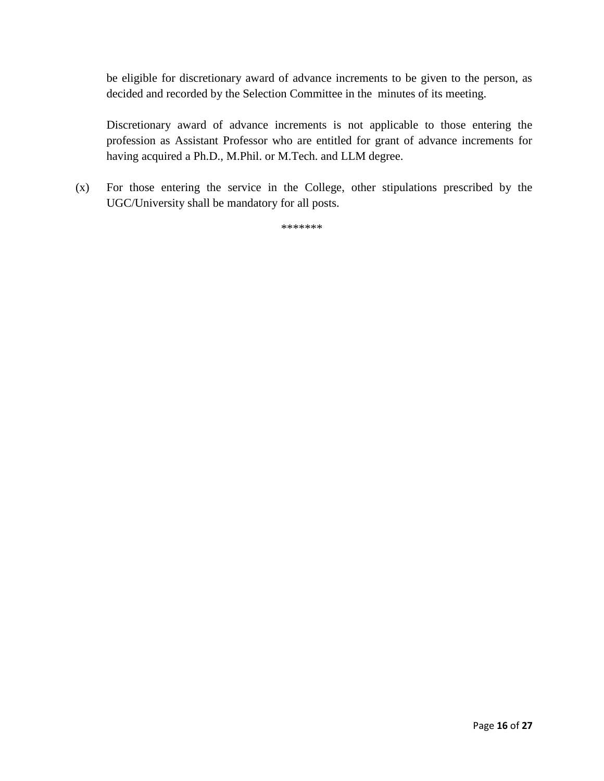be eligible for discretionary award of advance increments to be given to the person, as decided and recorded by the Selection Committee in the minutes of its meeting.

Discretionary award of advance increments is not applicable to those entering the profession as Assistant Professor who are entitled for grant of advance increments for having acquired a Ph.D., M.Phil. or M.Tech. and LLM degree.

(x) For those entering the service in the College, other stipulations prescribed by the UGC/University shall be mandatory for all posts.

\*\*\*\*\*\*\*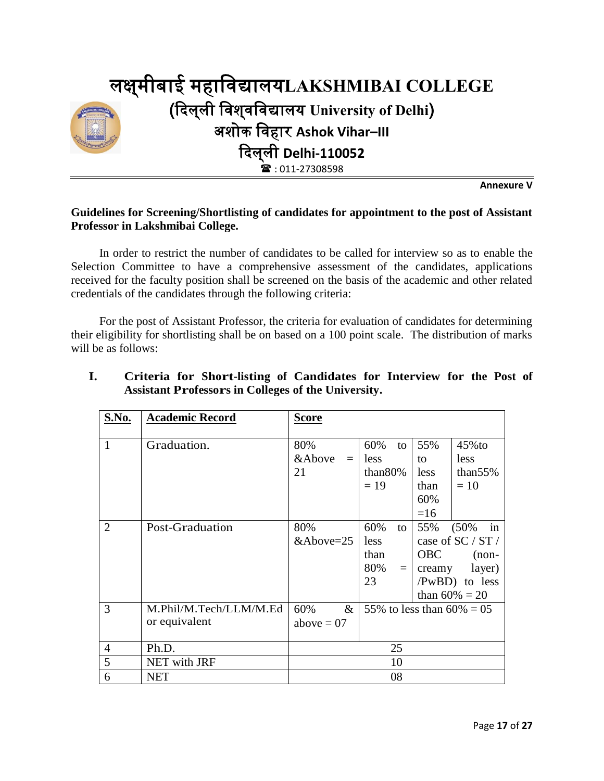

**Annexure V**

#### **Guidelines for Screening/Shortlisting of candidates for appointment to the post of Assistant Professor in Lakshmibai College.**

In order to restrict the number of candidates to be called for interview so as to enable the Selection Committee to have a comprehensive assessment of the candidates, applications received for the faculty position shall be screened on the basis of the academic and other related credentials of the candidates through the following criteria:

For the post of Assistant Professor, the criteria for evaluation of candidates for determining their eligibility for shortlisting shall be on based on a 100 point scale. The distribution of marks will be as follows:

| S.No.          | <b>Academic Record</b> | <b>Score</b>       |                              |            |                   |
|----------------|------------------------|--------------------|------------------------------|------------|-------------------|
|                |                        |                    |                              |            |                   |
| 1              | Graduation.            | 80%                | 60%<br>to                    | 55%        | $45\%$ to         |
|                |                        | &Above<br>$=$      | less                         | to         | less              |
|                |                        | 21                 | than $80\%$                  | less       | than $55%$        |
|                |                        |                    | $= 19$                       | than       | $=10$             |
|                |                        |                    |                              | 60%        |                   |
|                |                        |                    |                              | $=16$      |                   |
| $\overline{2}$ | Post-Graduation        | 80%                | 60%<br>to                    | 55%        | (50%<br>in        |
|                |                        | $&\text{Above}=25$ | less                         |            | case of SC / ST / |
|                |                        |                    | than                         | <b>OBC</b> | $(non-$           |
|                |                        |                    | 80%<br>$=$ $\perp$           | creamy     | layer)            |
|                |                        |                    | 23                           |            | /PwBD) to less    |
|                |                        |                    |                              |            | than $60\% = 20$  |
| 3              | M.Phil/M.Tech/LLM/M.Ed | 60%<br>$\&$        | 55% to less than $60\% = 05$ |            |                   |
|                | or equivalent          | above $= 07$       |                              |            |                   |
|                |                        |                    |                              |            |                   |
| $\overline{4}$ | Ph.D.                  |                    | 25                           |            |                   |
| 5              | NET with JRF           |                    | 10                           |            |                   |
| 6              | <b>NET</b>             |                    | 08                           |            |                   |

#### **I. Criteria for Short-listing of Candidates for Interview for the Post of Assistant Professors in Colleges of the University.**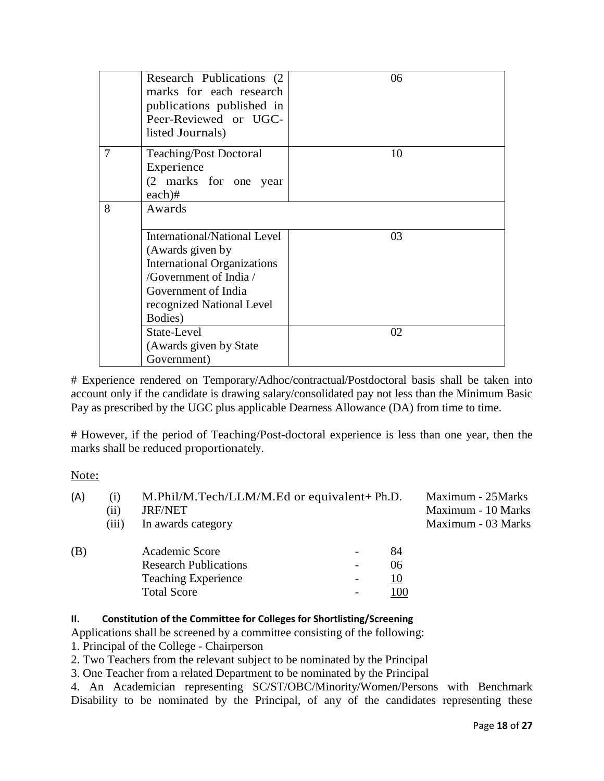|                | Research Publications (2)<br>marks for each research<br>publications published in<br>Peer-Reviewed or UGC-<br>listed Journals)                                                         | 06 |
|----------------|----------------------------------------------------------------------------------------------------------------------------------------------------------------------------------------|----|
| $\overline{7}$ | <b>Teaching/Post Doctoral</b><br>Experience<br>(2 marks for one year<br>$each)$ #                                                                                                      | 10 |
| 8              | Awards                                                                                                                                                                                 |    |
|                | <b>International/National Level</b><br>(Awards given by<br><b>International Organizations</b><br>/Government of India /<br>Government of India<br>recognized National Level<br>Bodies) | 03 |
|                | State-Level<br>(Awards given by State)<br>Government)                                                                                                                                  | 02 |

# Experience rendered on Temporary/Adhoc/contractual/Postdoctoral basis shall be taken into account only if the candidate is drawing salary/consolidated pay not less than the Minimum Basic Pay as prescribed by the UGC plus applicable Dearness Allowance (DA) from time to time.

# However, if the period of Teaching/Post-doctoral experience is less than one year, then the marks shall be reduced proportionately.

#### Note:

| (A) | M.Phil/M.Tech/LLM/M.Ed or equivalent+ Ph.D.<br>(1) |                              |                          |     | Maximum - 25Marks  |  |  |
|-----|----------------------------------------------------|------------------------------|--------------------------|-----|--------------------|--|--|
|     | $\left(11\right)$                                  | <b>JRF/NET</b>               |                          |     | Maximum - 10 Marks |  |  |
|     | (iii)                                              | In awards category           |                          |     | Maximum - 03 Marks |  |  |
| (B) |                                                    | Academic Score               |                          | 84  |                    |  |  |
|     |                                                    | <b>Research Publications</b> | $\overline{\phantom{a}}$ | 06  |                    |  |  |
|     |                                                    | <b>Teaching Experience</b>   | $\overline{\phantom{a}}$ | 10  |                    |  |  |
|     |                                                    | <b>Total Score</b>           | $\overline{\phantom{a}}$ | 100 |                    |  |  |

#### **II. Constitution of the Committee for Colleges for Shortlisting/Screening**

Applications shall be screened by a committee consisting of the following:

1. Principal of the College - Chairperson

2. Two Teachers from the relevant subject to be nominated by the Principal

3. One Teacher from a related Department to be nominated by the Principal

4. An Academician representing SC/ST/OBC/Minority/Women/Persons with Benchmark Disability to be nominated by the Principal, of any of the candidates representing these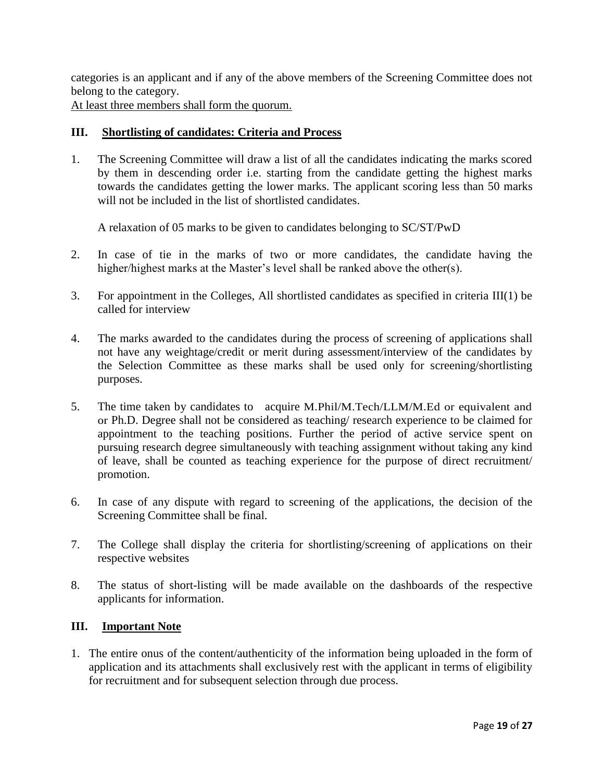categories is an applicant and if any of the above members of the Screening Committee does not belong to the category.

At least three members shall form the quorum.

#### **III. Shortlisting of candidates: Criteria and Process**

1. The Screening Committee will draw a list of all the candidates indicating the marks scored by them in descending order i.e. starting from the candidate getting the highest marks towards the candidates getting the lower marks. The applicant scoring less than 50 marks will not be included in the list of shortlisted candidates.

A relaxation of 05 marks to be given to candidates belonging to SC/ST/PwD

- 2. In case of tie in the marks of two or more candidates, the candidate having the higher/highest marks at the Master's level shall be ranked above the other(s).
- 3. For appointment in the Colleges, All shortlisted candidates as specified in criteria III(1) be called for interview
- 4. The marks awarded to the candidates during the process of screening of applications shall not have any weightage/credit or merit during assessment/interview of the candidates by the Selection Committee as these marks shall be used only for screening/shortlisting purposes.
- 5. The time taken by candidates to acquire M.Phil/M.Tech/LLM/M.Ed or equivalent and or Ph.D. Degree shall not be considered as teaching/ research experience to be claimed for appointment to the teaching positions. Further the period of active service spent on pursuing research degree simultaneously with teaching assignment without taking any kind of leave, shall be counted as teaching experience for the purpose of direct recruitment/ promotion.
- 6. In case of any dispute with regard to screening of the applications, the decision of the Screening Committee shall be final.
- 7. The College shall display the criteria for shortlisting/screening of applications on their respective websites
- 8. The status of short-listing will be made available on the dashboards of the respective applicants for information.

#### **III. Important Note**

1. The entire onus of the content/authenticity of the information being uploaded in the form of application and its attachments shall exclusively rest with the applicant in terms of eligibility for recruitment and for subsequent selection through due process.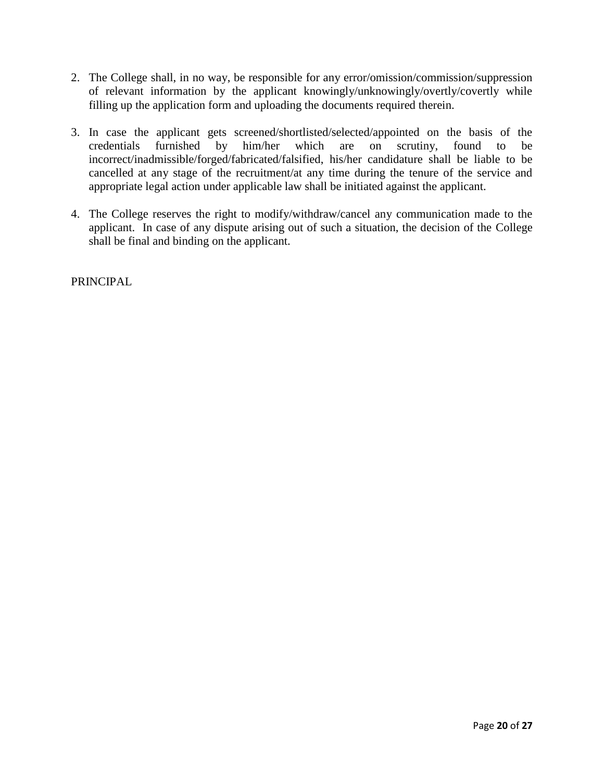- 2. The College shall, in no way, be responsible for any error/omission/commission/suppression of relevant information by the applicant knowingly/unknowingly/overtly/covertly while filling up the application form and uploading the documents required therein.
- 3. In case the applicant gets screened/shortlisted/selected/appointed on the basis of the credentials furnished by him/her which are on scrutiny, found to be incorrect/inadmissible/forged/fabricated/falsified, his/her candidature shall be liable to be cancelled at any stage of the recruitment/at any time during the tenure of the service and appropriate legal action under applicable law shall be initiated against the applicant.
- 4. The College reserves the right to modify/withdraw/cancel any communication made to the applicant. In case of any dispute arising out of such a situation, the decision of the College shall be final and binding on the applicant.

PRINCIPAL.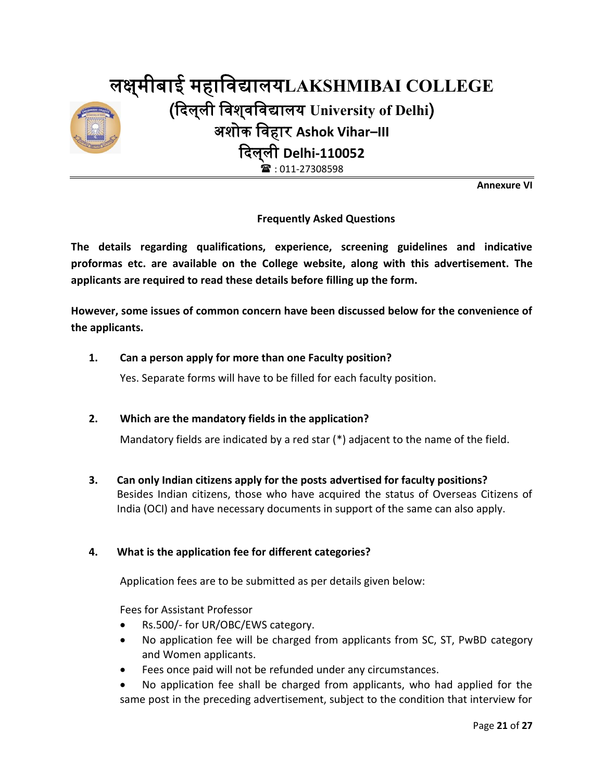

**Annexure VI**

#### **Frequently Asked Questions**

**The details regarding qualifications, experience, screening guidelines and indicative proformas etc. are available on the College website, along with this advertisement. The applicants are required to read these details before filling up the form.**

**However, some issues of common concern have been discussed below for the convenience of the applicants.**

#### **1. Can a person apply for more than one Faculty position?**

Yes. Separate forms will have to be filled for each faculty position.

#### **2. Which are the mandatory fields in the application?**

Mandatory fields are indicated by a red star (\*) adjacent to the name of the field.

**3. Can only Indian citizens apply for the posts advertised for faculty positions?** Besides Indian citizens, those who have acquired the status of Overseas Citizens of India (OCI) and have necessary documents in support of the same can also apply.

#### **4. What is the application fee for different categories?**

Application fees are to be submitted as per details given below:

Fees for Assistant Professor

- Rs.500/- for UR/OBC/EWS category.
- No application fee will be charged from applicants from SC, ST, PwBD category and Women applicants.
- Fees once paid will not be refunded under any circumstances.
- No application fee shall be charged from applicants, who had applied for the same post in the preceding advertisement, subject to the condition that interview for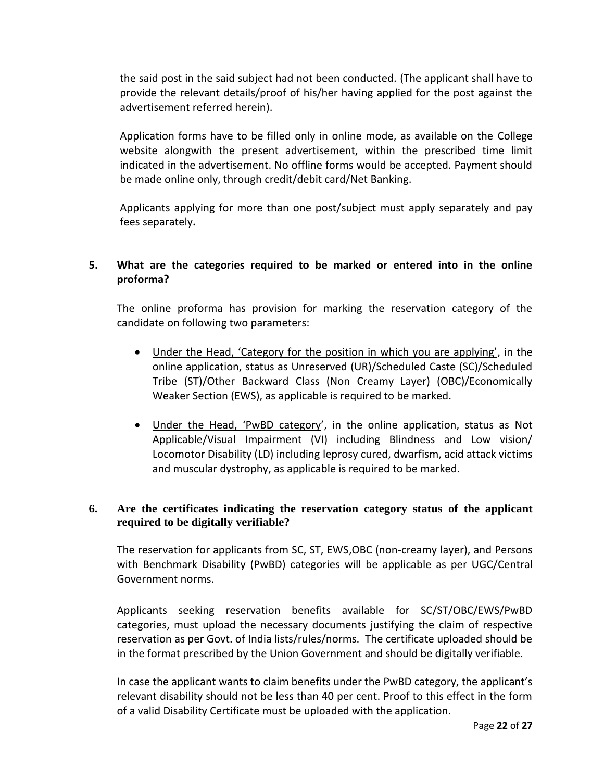the said post in the said subject had not been conducted. (The applicant shall have to provide the relevant details/proof of his/her having applied for the post against the advertisement referred herein).

Application forms have to be filled only in online mode, as available on the College website alongwith the present advertisement, within the prescribed time limit indicated in the advertisement. No offline forms would be accepted. Payment should be made online only, through credit/debit card/Net Banking.

Applicants applying for more than one post/subject must apply separately and pay fees separately**.**

#### **5. What are the categories required to be marked or entered into in the online proforma?**

The online proforma has provision for marking the reservation category of the candidate on following two parameters:

- Under the Head, 'Category for the position in which you are applying', in the online application, status as Unreserved (UR)/Scheduled Caste (SC)/Scheduled Tribe (ST)/Other Backward Class (Non Creamy Layer) (OBC)/Economically Weaker Section (EWS), as applicable is required to be marked.
- Under the Head, 'PwBD category', in the online application, status as Not Applicable/Visual Impairment (VI) including Blindness and Low vision/ Locomotor Disability (LD) including leprosy cured, dwarfism, acid attack victims and muscular dystrophy, as applicable is required to be marked.

#### **6. Are the certificates indicating the reservation category status of the applicant required to be digitally verifiable?**

The reservation for applicants from SC, ST, EWS,OBC (non-creamy layer), and Persons with Benchmark Disability (PwBD) categories will be applicable as per UGC/Central Government norms.

Applicants seeking reservation benefits available for SC/ST/OBC/EWS/PwBD categories, must upload the necessary documents justifying the claim of respective reservation as per Govt. of India lists/rules/norms. The certificate uploaded should be in the format prescribed by the Union Government and should be digitally verifiable.

In case the applicant wants to claim benefits under the PwBD category, the applicant's relevant disability should not be less than 40 per cent. Proof to this effect in the form of a valid Disability Certificate must be uploaded with the application.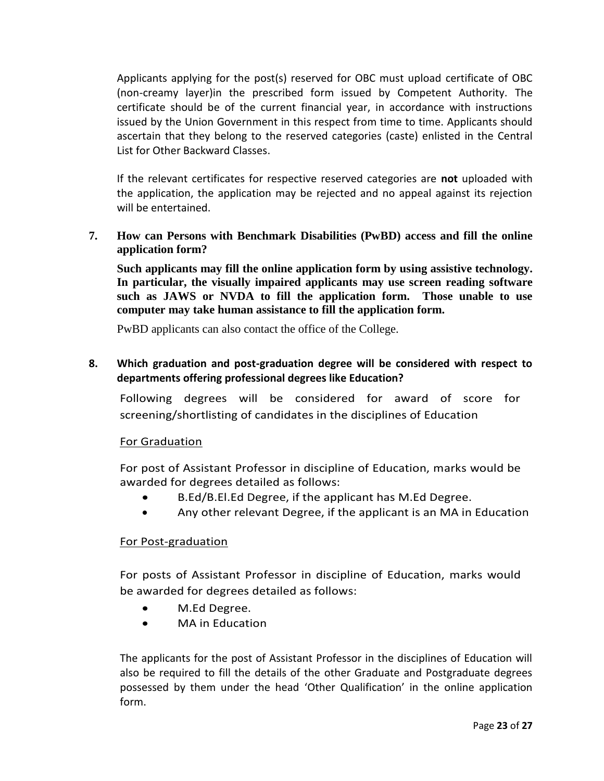Applicants applying for the post(s) reserved for OBC must upload certificate of OBC (non-creamy layer)in the prescribed form issued by Competent Authority. The certificate should be of the current financial year, in accordance with instructions issued by the Union Government in this respect from time to time. Applicants should ascertain that they belong to the reserved categories (caste) enlisted in the Central List for Other Backward Classes.

If the relevant certificates for respective reserved categories are **not** uploaded with the application, the application may be rejected and no appeal against its rejection will be entertained.

**7. How can Persons with Benchmark Disabilities (PwBD) access and fill the online application form?**

**Such applicants may fill the online application form by using assistive technology. In particular, the visually impaired applicants may use screen reading software such as JAWS or NVDA to fill the application form. Those unable to use computer may take human assistance to fill the application form.**

PwBD applicants can also contact the office of the College.

#### **8. Which graduation and post-graduation degree will be considered with respect to departments offering professional degrees like Education?**

Following degrees will be considered for award of score for screening/shortlisting of candidates in the disciplines of Education

#### For Graduation

For post of Assistant Professor in discipline of Education, marks would be awarded for degrees detailed as follows:

- B.Ed/B.El.Ed Degree, if the applicant has M.Ed Degree.
- Any other relevant Degree, if the applicant is an MA in Education

#### For Post-graduation

For posts of Assistant Professor in discipline of Education, marks would be awarded for degrees detailed as follows:

- M.Ed Degree.
- MA in Education

The applicants for the post of Assistant Professor in the disciplines of Education will also be required to fill the details of the other Graduate and Postgraduate degrees possessed by them under the head 'Other Qualification' in the online application form.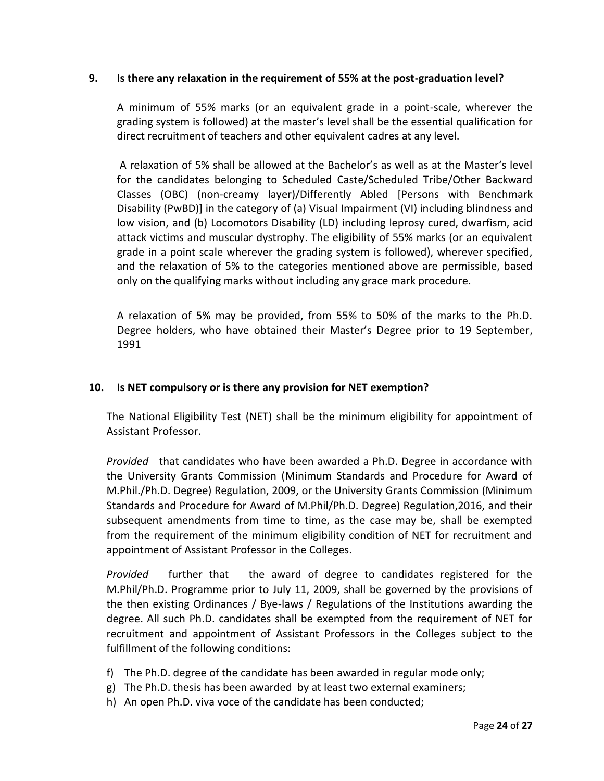#### **9. Is there any relaxation in the requirement of 55% at the post-graduation level?**

A minimum of 55% marks (or an equivalent grade in a point-scale, wherever the grading system is followed) at the master's level shall be the essential qualification for direct recruitment of teachers and other equivalent cadres at any level.

A relaxation of 5% shall be allowed at the Bachelor's as well as at the Master's level for the candidates belonging to Scheduled Caste/Scheduled Tribe/Other Backward Classes (OBC) (non-creamy layer)/Differently Abled [Persons with Benchmark Disability (PwBD)] in the category of (a) Visual Impairment (VI) including blindness and low vision, and (b) Locomotors Disability (LD) including leprosy cured, dwarfism, acid attack victims and muscular dystrophy. The eligibility of 55% marks (or an equivalent grade in a point scale wherever the grading system is followed), wherever specified, and the relaxation of 5% to the categories mentioned above are permissible, based only on the qualifying marks without including any grace mark procedure.

A relaxation of 5% may be provided, from 55% to 50% of the marks to the Ph.D. Degree holders, who have obtained their Master's Degree prior to 19 September, 1991

#### **10. Is NET compulsory or is there any provision for NET exemption?**

The National Eligibility Test (NET) shall be the minimum eligibility for appointment of Assistant Professor.

*Provided* that candidates who have been awarded a Ph.D. Degree in accordance with the University Grants Commission (Minimum Standards and Procedure for Award of M.Phil./Ph.D. Degree) Regulation, 2009, or the University Grants Commission (Minimum Standards and Procedure for Award of M.Phil/Ph.D. Degree) Regulation,2016, and their subsequent amendments from time to time, as the case may be, shall be exempted from the requirement of the minimum eligibility condition of NET for recruitment and appointment of Assistant Professor in the Colleges.

*Provided* further that the award of degree to candidates registered for the M.Phil/Ph.D. Programme prior to July 11, 2009, shall be governed by the provisions of the then existing Ordinances / Bye-laws / Regulations of the Institutions awarding the degree. All such Ph.D. candidates shall be exempted from the requirement of NET for recruitment and appointment of Assistant Professors in the Colleges subject to the fulfillment of the following conditions:

- f) The Ph.D. degree of the candidate has been awarded in regular mode only;
- g) The Ph.D. thesis has been awarded by at least two external examiners;
- h) An open Ph.D. viva voce of the candidate has been conducted;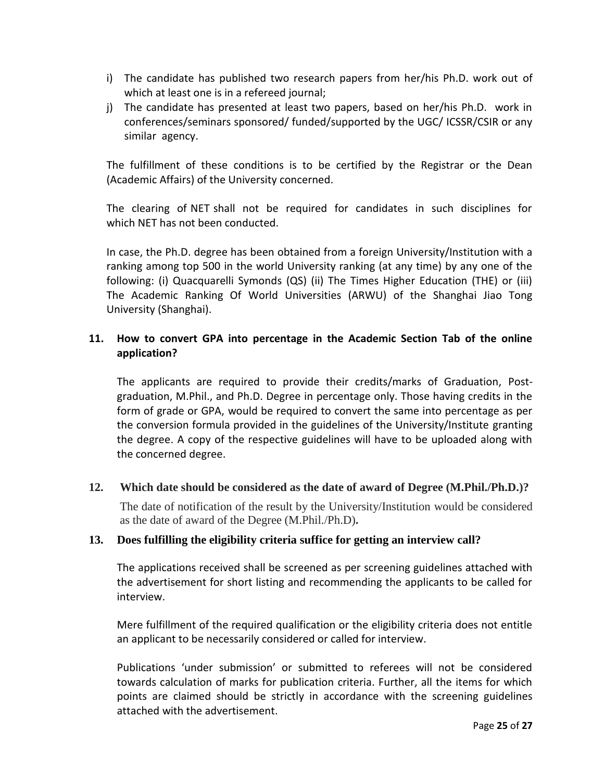- i) The candidate has published two research papers from her/his Ph.D. work out of which at least one is in a refereed journal;
- j) The candidate has presented at least two papers, based on her/his Ph.D. work in conferences/seminars sponsored/ funded/supported by the UGC/ ICSSR/CSIR or any similar agency.

The fulfillment of these conditions is to be certified by the Registrar or the Dean (Academic Affairs) of the University concerned.

The clearing of NET shall not be required for candidates in such disciplines for which NET has not been conducted.

In case, the Ph.D. degree has been obtained from a foreign University/Institution with a ranking among top 500 in the world University ranking (at any time) by any one of the following: (i) Quacquarelli Symonds (QS) (ii) The Times Higher Education (THE) or (iii) The Academic Ranking Of World Universities (ARWU) of the Shanghai Jiao Tong University (Shanghai).

#### **11. How to convert GPA into percentage in the Academic Section Tab of the online application?**

The applicants are required to provide their credits/marks of Graduation, Postgraduation, M.Phil., and Ph.D. Degree in percentage only. Those having credits in the form of grade or GPA, would be required to convert the same into percentage as per the conversion formula provided in the guidelines of the University/Institute granting the degree. A copy of the respective guidelines will have to be uploaded along with the concerned degree.

#### **12. Which date should be considered as the date of award of Degree (M.Phil./Ph.D.)?**

The date of notification of the result by the University/Institution would be considered as the date of award of the Degree (M.Phil./Ph.D)**.**

#### **13. Does fulfilling the eligibility criteria suffice for getting an interview call?**

The applications received shall be screened as per screening guidelines attached with the advertisement for short listing and recommending the applicants to be called for interview.

Mere fulfillment of the required qualification or the eligibility criteria does not entitle an applicant to be necessarily considered or called for interview.

Publications 'under submission' or submitted to referees will not be considered towards calculation of marks for publication criteria. Further, all the items for which points are claimed should be strictly in accordance with the screening guidelines attached with the advertisement.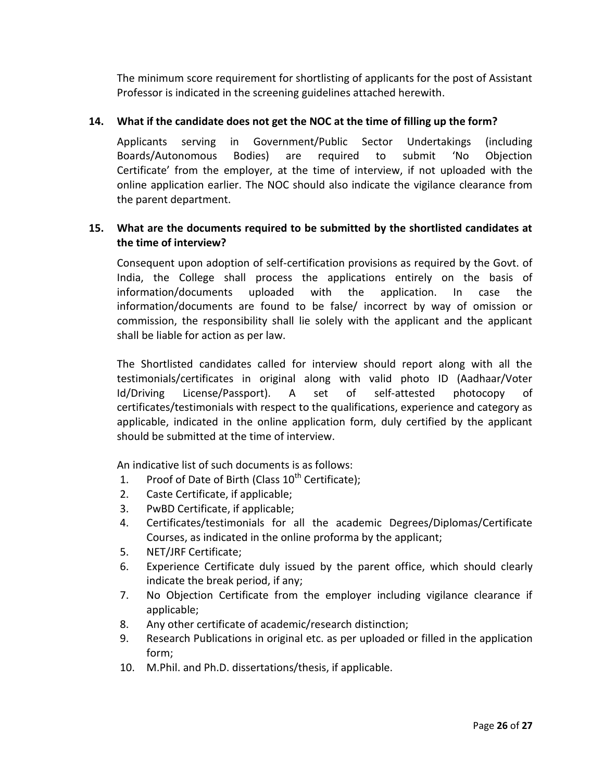The minimum score requirement for shortlisting of applicants for the post of Assistant Professor is indicated in the screening guidelines attached herewith.

#### **14. What if the candidate does not get the NOC at the time of filling up the form?**

Applicants serving in Government/Public Sector Undertakings (including Boards/Autonomous Bodies) are required to submit 'No Objection Certificate' from the employer, at the time of interview, if not uploaded with the online application earlier. The NOC should also indicate the vigilance clearance from the parent department.

#### **15. What are the documents required to be submitted by the shortlisted candidates at the time of interview?**

Consequent upon adoption of self-certification provisions as required by the Govt. of India, the College shall process the applications entirely on the basis of information/documents uploaded with the application. In case the information/documents are found to be false/ incorrect by way of omission or commission, the responsibility shall lie solely with the applicant and the applicant shall be liable for action as per law.

The Shortlisted candidates called for interview should report along with all the testimonials/certificates in original along with valid photo ID (Aadhaar/Voter Id/Driving License/Passport). A set of self-attested photocopy of certificates/testimonials with respect to the qualifications, experience and category as applicable, indicated in the online application form, duly certified by the applicant should be submitted at the time of interview.

An indicative list of such documents is as follows:

- 1. Proof of Date of Birth (Class  $10^{th}$  Certificate);
- 2. Caste Certificate, if applicable;
- 3. PwBD Certificate, if applicable;
- 4. Certificates/testimonials for all the academic Degrees/Diplomas/Certificate Courses, as indicated in the online proforma by the applicant;
- 5. NET/JRF Certificate;
- 6. Experience Certificate duly issued by the parent office, which should clearly indicate the break period, if any;
- 7. No Objection Certificate from the employer including vigilance clearance if applicable;
- 8. Any other certificate of academic/research distinction;
- 9. Research Publications in original etc. as per uploaded or filled in the application form;
- 10. M.Phil. and Ph.D. dissertations/thesis, if applicable.